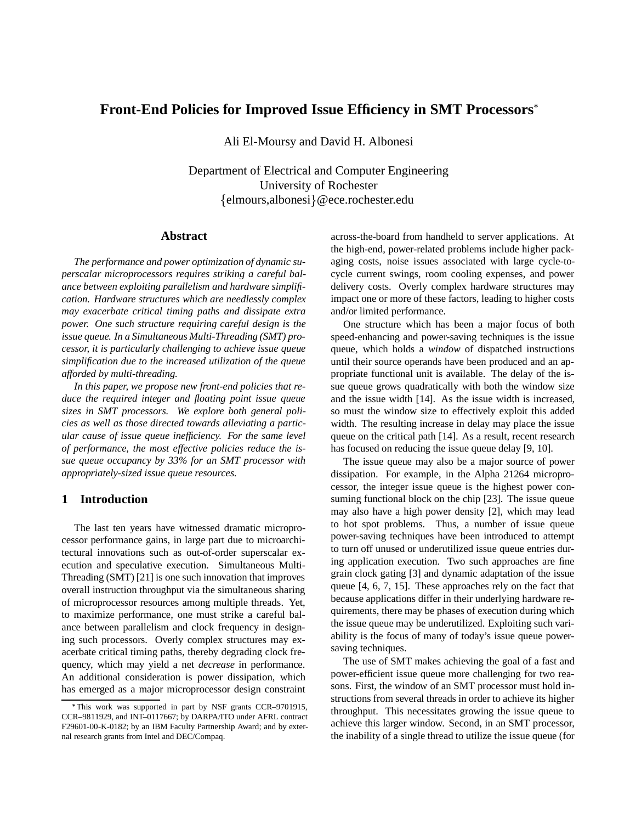# **Front-End Policies for Improved Issue Efficiency in SMT Processors**

Ali El-Moursy and David H. Albonesi

Department of Electrical and Computer Engineering University of Rochester {elmours,albonesi}@ece.rochester.edu

#### **Abstract**

*The performance and power optimization of dynamic superscalar microprocessors requires striking a careful balance between exploiting parallelism and hardware simplification. Hardware structures which are needlessly complex may exacerbate critical timing paths and dissipate extra power. One such structure requiring careful design is the issue queue. In a Simultaneous Multi-Threading (SMT) processor, it is particularly challenging to achieve issue queue simplification due to the increased utilization of the queue afforded by multi-threading.*

*In this paper, we propose new front-end policies that reduce the required integer and floating point issue queue sizes in SMT processors. We explore both general policies as well as those directed towards alleviating a particular cause of issue queue inefficiency. For the same level of performance, the most effective policies reduce the issue queue occupancy by 33% for an SMT processor with appropriately-sized issue queue resources.*

## **1 Introduction**

The last ten years have witnessed dramatic microprocessor performance gains, in large part due to microarchitectural innovations such as out-of-order superscalar execution and speculative execution. Simultaneous Multi-Threading (SMT) [21] is one such innovation that improves overall instruction throughput via the simultaneous sharing of microprocessor resources among multiple threads. Yet, to maximize performance, one must strike a careful balance between parallelism and clock frequency in designing such processors. Overly complex structures may exacerbate critical timing paths, thereby degrading clock frequency, which may yield a net *decrease* in performance. An additional consideration is power dissipation, which has emerged as a major microprocessor design constraint across-the-board from handheld to server applications. At the high-end, power-related problems include higher packaging costs, noise issues associated with large cycle-tocycle current swings, room cooling expenses, and power delivery costs. Overly complex hardware structures may impact one or more of these factors, leading to higher costs and/or limited performance.

One structure which has been a major focus of both speed-enhancing and power-saving techniques is the issue queue, which holds a *window* of dispatched instructions until their source operands have been produced and an appropriate functional unit is available. The delay of the issue queue grows quadratically with both the window size and the issue width [14]. As the issue width is increased, so must the window size to effectively exploit this added width. The resulting increase in delay may place the issue queue on the critical path [14]. As a result, recent research has focused on reducing the issue queue delay [9, 10].

The issue queue may also be a major source of power dissipation. For example, in the Alpha 21264 microprocessor, the integer issue queue is the highest power consuming functional block on the chip [23]. The issue queue may also have a high power density [2], which may lead to hot spot problems. Thus, a number of issue queue power-saving techniques have been introduced to attempt to turn off unused or underutilized issue queue entries during application execution. Two such approaches are fine grain clock gating [3] and dynamic adaptation of the issue queue [4, 6, 7, 15]. These approaches rely on the fact that because applications differ in their underlying hardware requirements, there may be phases of execution during which the issue queue may be underutilized. Exploiting such variability is the focus of many of today's issue queue powersaving techniques.

The use of SMT makes achieving the goal of a fast and power-efficient issue queue more challenging for two reasons. First, the window of an SMT processor must hold instructions from several threads in order to achieve its higher throughput. This necessitates growing the issue queue to achieve this larger window. Second, in an SMT processor, the inability of a single thread to utilize the issue queue (for

This work was supported in part by NSF grants CCR–9701915, CCR–9811929, and INT–0117667; by DARPA/ITO under AFRL contract F29601-00-K-0182; by an IBM Faculty Partnership Award; and by external research grants from Intel and DEC/Compaq.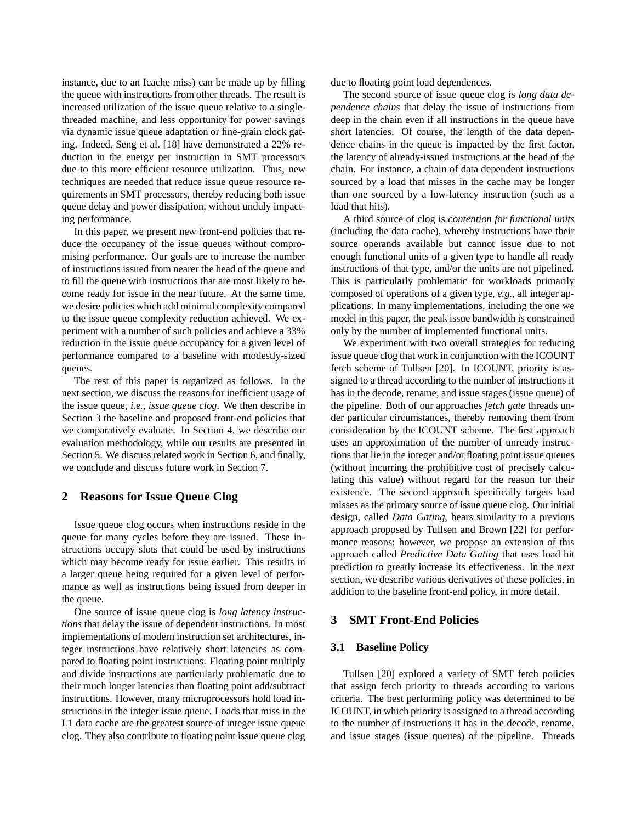instance, due to an Icache miss) can be made up by filling the queue with instructions from other threads. The result is increased utilization of the issue queue relative to a singlethreaded machine, and less opportunity for power savings via dynamic issue queue adaptation or fine-grain clock gating. Indeed, Seng et al. [18] have demonstrated a 22% reduction in the energy per instruction in SMT processors due to this more efficient resource utilization. Thus, new techniques are needed that reduce issue queue resource requirements in SMT processors, thereby reducing both issue queue delay and power dissipation, without unduly impacting performance.

In this paper, we present new front-end policies that reduce the occupancy of the issue queues without compromising performance. Our goals are to increase the number of instructions issued from nearer the head of the queue and to fill the queue with instructions that are most likely to become ready for issue in the near future. At the same time, we desire policies which add minimal complexity compared to the issue queue complexity reduction achieved. We experiment with a number of such policies and achieve a 33% reduction in the issue queue occupancy for a given level of performance compared to a baseline with modestly-sized queues.

The rest of this paper is organized as follows. In the next section, we discuss the reasons for inefficient usage of the issue queue, *i.e.*, *issue queue clog*. We then describe in Section 3 the baseline and proposed front-end policies that we comparatively evaluate. In Section 4, we describe our evaluation methodology, while our results are presented in Section 5. We discuss related work in Section 6, and finally, we conclude and discuss future work in Section 7.

## **2 Reasons for Issue Queue Clog**

Issue queue clog occurs when instructions reside in the queue for many cycles before they are issued. These instructions occupy slots that could be used by instructions which may become ready for issue earlier. This results in a larger queue being required for a given level of performance as well as instructions being issued from deeper in the queue.

One source of issue queue clog is *long latency instructions* that delay the issue of dependent instructions. In most implementations of modern instruction set architectures, integer instructions have relatively short latencies as compared to floating point instructions. Floating point multiply and divide instructions are particularly problematic due to their much longer latencies than floating point add/subtract instructions. However, many microprocessors hold load instructions in the integer issue queue. Loads that miss in the L1 data cache are the greatest source of integer issue queue clog. They also contribute to floating point issue queue clog due to floating point load dependences.

The second source of issue queue clog is *long data dependence chains* that delay the issue of instructions from deep in the chain even if all instructions in the queue have short latencies. Of course, the length of the data dependence chains in the queue is impacted by the first factor, the latency of already-issued instructions at the head of the chain. For instance, a chain of data dependent instructions sourced by a load that misses in the cache may be longer than one sourced by a low-latency instruction (such as a load that hits).

A third source of clog is *contention for functional units* (including the data cache), whereby instructions have their source operands available but cannot issue due to not enough functional units of a given type to handle all ready instructions of that type, and/or the units are not pipelined. This is particularly problematic for workloads primarily composed of operations of a given type, *e.g.*, all integer applications. In many implementations, including the one we model in this paper, the peak issue bandwidth is constrained only by the number of implemented functional units.

We experiment with two overall strategies for reducing issue queue clog that work in conjunction with the ICOUNT fetch scheme of Tullsen [20]. In ICOUNT, priority is assigned to a thread according to the number of instructions it has in the decode, rename, and issue stages (issue queue) of the pipeline. Both of our approaches *fetch gate* threads under particular circumstances, thereby removing them from consideration by the ICOUNT scheme. The first approach uses an approximation of the number of unready instructionsthat lie in the integer and/or floating point issue queues (without incurring the prohibitive cost of precisely calculating this value) without regard for the reason for their existence. The second approach specifically targets load misses as the primary source of issue queue clog. Our initial design, called *Data Gating*, bears similarity to a previous approach proposed by Tullsen and Brown [22] for performance reasons; however, we propose an extension of this approach called *Predictive Data Gating* that uses load hit prediction to greatly increase its effectiveness. In the next section, we describe various derivatives of these policies, in addition to the baseline front-end policy, in more detail.

### **3 SMT Front-End Policies**

#### **3.1 Baseline Policy**

Tullsen [20] explored a variety of SMT fetch policies that assign fetch priority to threads according to various criteria. The best performing policy was determined to be ICOUNT, in which priority is assigned to a thread according to the number of instructions it has in the decode, rename, and issue stages (issue queues) of the pipeline. Threads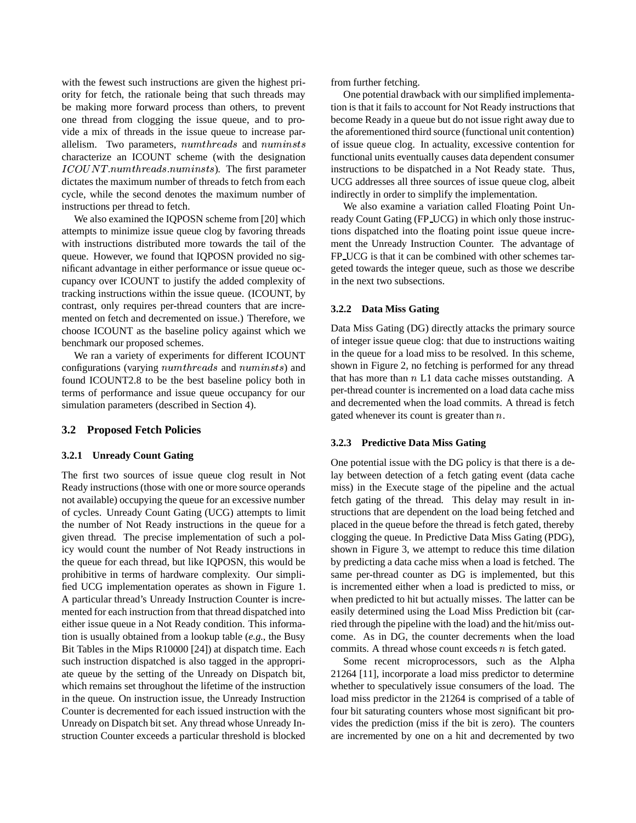with the fewest such instructions are given the highest priority for fetch, the rationale being that such threads may be making more forward process than others, to prevent one thread from clogging the issue queue, and to provide a mix of threads in the issue queue to increase parallelism. Two parameters,  $numbereds$  and  $numinsts$  of characterize an ICOUNT scheme (with the designation  $\textit{ICOUNT}. \textit{numthreads} . \textit{numinsts}$ ). The first parameter dictates the maximum number of threads to fetch from each cycle, while the second denotes the maximum number of instructions per thread to fetch.

We also examined the IQPOSN scheme from [20] which attempts to minimize issue queue clog by favoring threads with instructions distributed more towards the tail of the queue. However, we found that IQPOSN provided no significant advantage in either performance or issue queue occupancy over ICOUNT to justify the added complexity of tracking instructions within the issue queue. (ICOUNT, by contrast, only requires per-thread counters that are incremented on fetch and decremented on issue.) Therefore, we choose ICOUNT as the baseline policy against which we benchmark our proposed schemes.

We ran a variety of experiments for different ICOUNT configurations (varying  $numbereds$  and  $numinsts$ ) and found ICOUNT2.8 to be the best baseline policy both in terms of performance and issue queue occupancy for our simulation parameters (described in Section 4).

#### **3.2 Proposed Fetch Policies**

#### **3.2.1 Unready Count Gating**

The first two sources of issue queue clog result in Not Ready instructions(those with one or more source operands not available) occupying the queue for an excessive number of cycles. Unready Count Gating (UCG) attempts to limit the number of Not Ready instructions in the queue for a given thread. The precise implementation of such a policy would count the number of Not Ready instructions in the queue for each thread, but like IQPOSN, this would be prohibitive in terms of hardware complexity. Our simplified UCG implementation operates as shown in Figure 1. A particular thread's Unready Instruction Counter is incremented for each instruction from that thread dispatched into either issue queue in a Not Ready condition. This information is usually obtained from a lookup table (*e.g.*, the Busy Bit Tables in the Mips R10000 [24]) at dispatch time. Each such instruction dispatched is also tagged in the appropriate queue by the setting of the Unready on Dispatch bit, which remains set throughout the lifetime of the instruction in the queue. On instruction issue, the Unready Instruction Counter is decremented for each issued instruction with the Unready on Dispatch bit set. Any thread whose Unready Instruction Counter exceeds a particular threshold is blocked

from further fetching.

One potential drawback with our simplified implementation is that it fails to account for Not Ready instructions that become Ready in a queue but do not issue right away due to the aforementioned third source (functional unit contention) of issue queue clog. In actuality, excessive contention for functional units eventually causes data dependent consumer instructions to be dispatched in a Not Ready state. Thus, UCG addresses all three sources of issue queue clog, albeit indirectly in order to simplify the implementation.

We also examine a variation called Floating Point Unready Count Gating (FP UCG) in which only those instructions dispatched into the floating point issue queue increment the Unready Instruction Counter. The advantage of FP UCG is that it can be combined with other schemes targeted towards the integer queue, such as those we describe in the next two subsections.

#### **3.2.2 Data Miss Gating**

Data Miss Gating (DG) directly attacks the primary source of integer issue queue clog: that due to instructions waiting in the queue for a load miss to be resolved. In this scheme, shown in Figure 2, no fetching is performed for any thread that has more than  $n L1$  data cache misses outstanding. A per-thread counter is incremented on a load data cache miss and decremented when the load commits. A thread is fetch gated whenever its count is greater than  $n$ .

#### **3.2.3 Predictive Data Miss Gating**

One potential issue with the DG policy is that there is a delay between detection of a fetch gating event (data cache miss) in the Execute stage of the pipeline and the actual fetch gating of the thread. This delay may result in instructions that are dependent on the load being fetched and placed in the queue before the thread is fetch gated, thereby clogging the queue. In Predictive Data Miss Gating (PDG), shown in Figure 3, we attempt to reduce this time dilation by predicting a data cache miss when a load is fetched. The same per-thread counter as DG is implemented, but this is incremented either when a load is predicted to miss, or when predicted to hit but actually misses. The latter can be easily determined using the Load Miss Prediction bit (carried through the pipeline with the load) and the hit/miss outcome. As in DG, the counter decrements when the load commits. A thread whose count exceeds  $n$  is fetch gated.

Some recent microprocessors, such as the Alpha 21264 [11], incorporate a load miss predictor to determine whether to speculatively issue consumers of the load. The load miss predictor in the 21264 is comprised of a table of four bit saturating counters whose most significant bit provides the prediction (miss if the bit is zero). The counters are incremented by one on a hit and decremented by two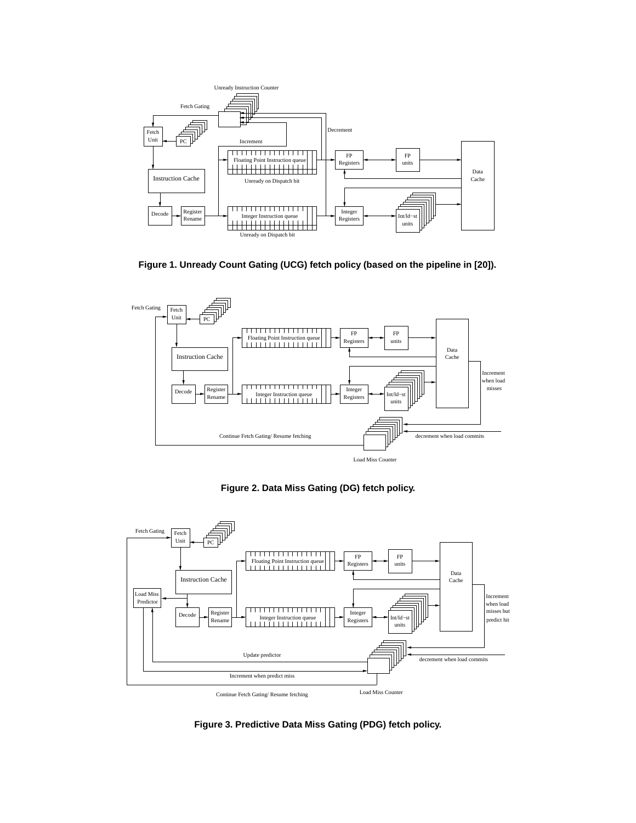

**Figure 1. Unready Count Gating (UCG) fetch policy (based on the pipeline in [20]).**



**Figure 2. Data Miss Gating (DG) fetch policy.**



**Figure 3. Predictive Data Miss Gating (PDG) fetch policy.**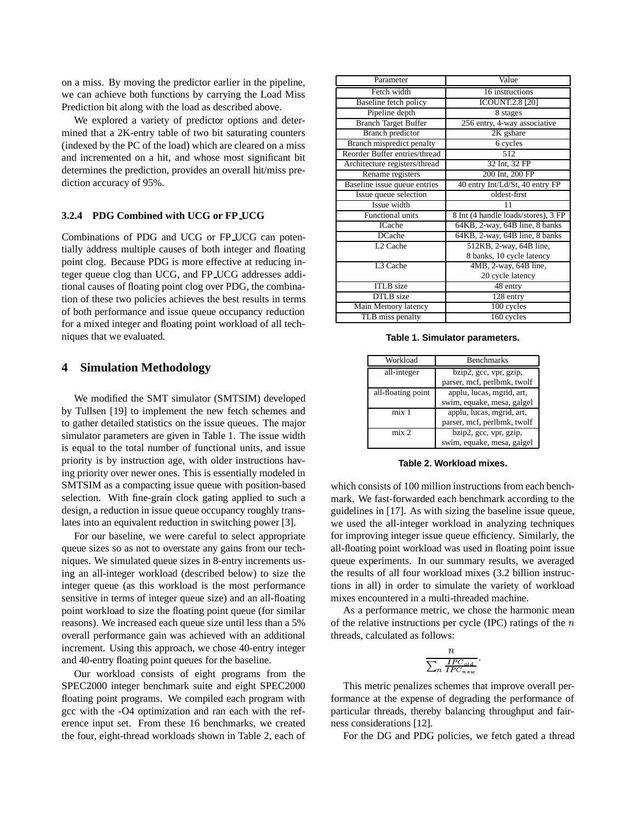on a miss. By moving the predictor earlier in the pipeline, we can achieve both functions by carrying the Load Miss Prediction bit along with the load as described above.

We explored a variety of predictor options and determined that a 2K-entry table of two bit saturating counters (indexed by the PC of the load) which are cleared on a miss and incremented on a hit, and whose most significant bit determines the prediction, provides an overall hit/miss prediction accuracy of 95%.

#### **3.2.4 PDG Combined with UCG or FP UCG**

Combinations of PDG and UCG or FP UCG can potentially address multiple causes of both integer and floating point clog. Because PDG is more effective at reducing integer queue clog than UCG, and FP UCG addresses additional causes of floating point clog over PDG, the combination of these two policies achieves the best results in terms of both performance and issue queue occupancy reduction for a mixed integer and floating point workload of all techniques that we evaluated.

## **4 Simulation Methodology**

We modified the SMT simulator (SMTSIM) developed by Tullsen [19] to implement the new fetch schemes and to gather detailed statistics on the issue queues. The major simulator parameters are given in Table 1. The issue width is equal to the total number of functional units, and issue priority is by instruction age, with older instructions having priority over newer ones. This is essentially modeled in SMTSIM as a compacting issue queue with position-based selection. With fine-grain clock gating applied to such a design, a reduction in issue queue occupancy roughly translates into an equivalent reduction in switching power [3].

For our baseline, we were careful to select appropriate queue sizes so as not to overstate any gains from our techniques. We simulated queue sizes in 8-entry increments using an all-integer workload (described below) to size the integer queue (as this workload is the most performance sensitive in terms of integer queue size) and an all-floating point workload to size the floating point queue (for similar reasons). We increased each queue size until less than a 5% overall performance gain was achieved with an additional increment. Using this approach, we chose 40-entry integer and 40-entry floating point queues for the baseline.

Our workload consists of eight programs from the SPEC2000 integer benchmark suite and eight SPEC2000 floating point programs. We compiled each program with gcc with the -O4 optimization and ran each with the reference input set. From these 16 benchmarks, we created the four, eight-thread workloads shown in Table 2, each of

| Parameter                     | Value                               |
|-------------------------------|-------------------------------------|
| Fetch width                   | 16 instructions                     |
| Baseline fetch policy         | <b>ICOUNT.2.8 [20]</b>              |
| Pipeline depth                | 8 stages                            |
| <b>Branch Target Buffer</b>   | 256 entry, 4-way associative        |
| <b>Branch</b> predictor       | 2K gshare                           |
| Branch mispredict penalty     | 6 cycles                            |
| Reorder Buffer entries/thread | 512                                 |
| Architecture registers/thread | 32 Int, 32 FP                       |
| Rename registers              | 200 Int, 200 FP                     |
| Baseline issue queue entries  | 40 entry Int/Ld/St, 40 entry FP     |
| Issue queue selection         | oldest-first                        |
| Issue width                   | 11                                  |
| <b>Functional units</b>       | 8 Int (4 handle loads/stores), 3 FP |
| ICache                        | 64KB, 2-way, 64B line, 8 banks      |
| <b>DCache</b>                 | 64KB, 2-way, 64B line, 8 banks      |
| L <sub>2</sub> Cache          | 512KB, 2-way, 64B line,             |
|                               | 8 banks, 10 cycle latency           |
| L3 Cache                      | 4MB, 2-way, 64B line,               |
|                               | 20 cycle latency                    |
| <b>ITLB</b> size              | 48 entry                            |
| DTLB size                     | 128 entry                           |
| Main Memory latency           | 100 cycles                          |
| TLB miss penalty              | 160 cycles                          |

**Table 1. Simulator parameters.**

| Workload           | <b>Benchmarks</b>           |
|--------------------|-----------------------------|
| all-integer        | bzip2, gcc, vpr, gzip,      |
|                    | parser, mcf, perlbmk, twolf |
| all-floating point | applu, lucas, mgrid, art,   |
|                    | swim, equake, mesa, galgel  |
| mix 1              | applu, lucas, mgrid, art,   |
|                    | parser, mcf, perlbmk, twolf |
| mix 2              | bzip2, gcc, vpr, gzip,      |
|                    | swim, equake, mesa, galgel  |

**Table 2. Workload mixes.**

which consists of 100 million instructions from each benchmark. We fast-forwarded each benchmark according to the guidelines in [17]. As with sizing the baseline issue queue, we used the all-integer workload in analyzing techniques for improving integer issue queue efficiency. Similarly, the all-floating point workload was used in floating point issue queue experiments. In our summary results, we averaged the results of all four workload mixes (3.2 billion instructions in all) in order to simulate the variety of workload mixes encountered in a multi-threaded machine.

As a performance metric, we chose the harmonic mean of the relative instructions per cycle (IPC) ratings of the  $n$ threads, calculated as follows:

$$
\frac{n}{\sum_{n} \frac{IPC_{old}}{IPC_{new}}}.
$$

This metric penalizes schemes that improve overall performance at the expense of degrading the performance of particular threads, thereby balancing throughput and fairness considerations [12].

For the DG and PDG policies, we fetch gated a thread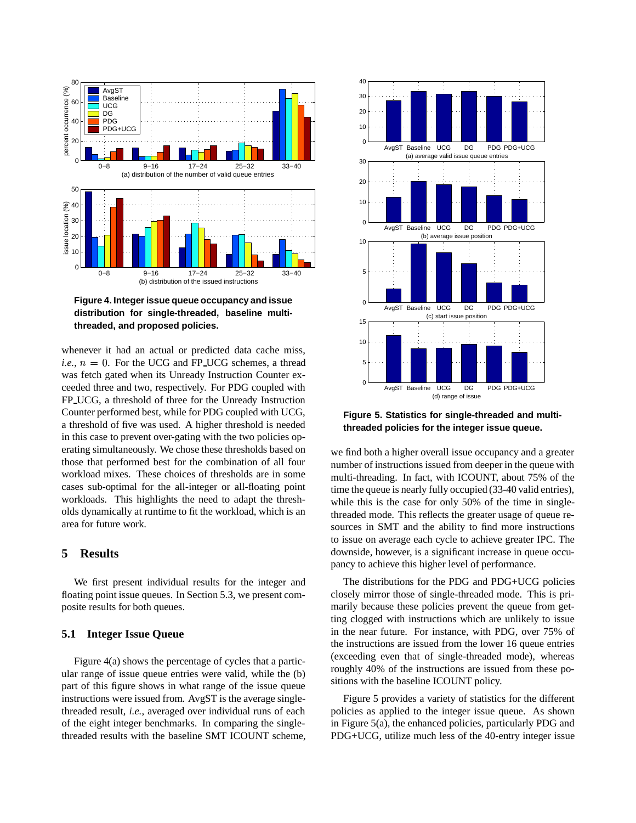

**Figure 4. Integerissue queue occupancy and issue distribution for single-threaded, baseline multithreaded, and proposed policies.**

whenever it had an actual or predicted data cache miss, *i.e.*,  $n = 0$ . For the UCG and FP UCG schemes, a thread was fetch gated when its Unready Instruction Counter exceeded three and two, respectively. For PDG coupled with FP UCG, a threshold of three for the Unready Instruction Counter performed best, while for PDG coupled with UCG, a threshold of five was used. A higher threshold is needed in this case to prevent over-gating with the two policies operating simultaneously. We chose these thresholds based on those that performed best for the combination of all four workload mixes. These choices of thresholds are in some cases sub-optimal for the all-integer or all-floating point workloads. This highlights the need to adapt the thresholds dynamically at runtime to fit the workload, which is an area for future work.

# **5 Results**

We first present individual results for the integer and floating point issue queues. In Section 5.3, we present composite results for both queues.

## **5.1 Integer Issue Queue**

Figure 4(a) shows the percentage of cycles that a particular range of issue queue entries were valid, while the (b) part of this figure shows in what range of the issue queue instructions were issued from. AvgST is the average singlethreaded result, *i.e.*, averaged over individual runs of each of the eight integer benchmarks. In comparing the singlethreaded results with the baseline SMT ICOUNT scheme,



**Figure 5. Statistics for single-threaded and multithreaded policies for the integer issue queue.**

we find both a higher overall issue occupancy and a greater number of instructions issued from deeper in the queue with multi-threading. In fact, with ICOUNT, about 75% of the time the queue is nearly fully occupied (33-40 valid entries), while this is the case for only 50% of the time in singlethreaded mode. This reflects the greater usage of queue resources in SMT and the ability to find more instructions to issue on average each cycle to achieve greater IPC. The downside, however, is a significant increase in queue occupancy to achieve this higher level of performance.

The distributions for the PDG and PDG+UCG policies closely mirror those of single-threaded mode. This is primarily because these policies prevent the queue from getting clogged with instructions which are unlikely to issue in the near future. For instance, with PDG, over 75% of the instructions are issued from the lower 16 queue entries (exceeding even that of single-threaded mode), whereas roughly 40% of the instructions are issued from these positions with the baseline ICOUNT policy.

Figure 5 provides a variety of statistics for the different policies as applied to the integer issue queue. As shown in Figure 5(a), the enhanced policies, particularly PDG and PDG+UCG, utilize much less of the 40-entry integer issue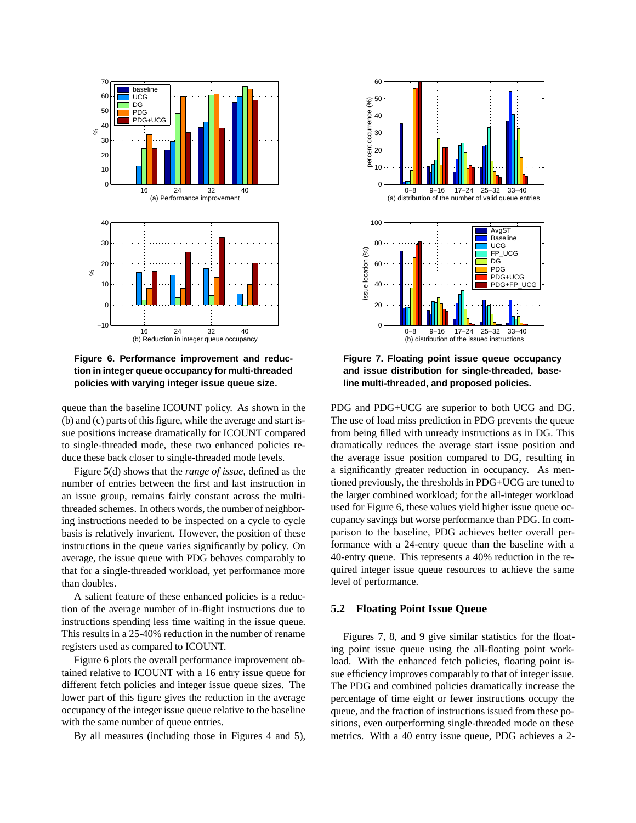

**Figure 6. Performance improvement and reduction in integer queue occupancy for multi-threaded policies with varying integer issue queue size.**

queue than the baseline ICOUNT policy. As shown in the (b) and (c) parts of this figure, while the average and start issue positions increase dramatically for ICOUNT compared to single-threaded mode, these two enhanced policies reduce these back closer to single-threaded mode levels.

Figure 5(d) shows that the *range of issue*, defined as the number of entries between the first and last instruction in an issue group, remains fairly constant across the multithreaded schemes. In others words, the number of neighboring instructions needed to be inspected on a cycle to cycle basis is relatively invarient. However, the position of these instructions in the queue varies significantly by policy. On average, the issue queue with PDG behaves comparably to that for a single-threaded workload, yet performance more than doubles.

A salient feature of these enhanced policies is a reduction of the average number of in-flight instructions due to instructions spending less time waiting in the issue queue. This results in a 25-40% reduction in the number of rename registers used as compared to ICOUNT.

Figure 6 plots the overall performance improvement obtained relative to ICOUNT with a 16 entry issue queue for different fetch policies and integer issue queue sizes. The lower part of this figure gives the reduction in the average occupancy of the integer issue queue relative to the baseline with the same number of queue entries.

By all measures (including those in Figures 4 and 5),



**Figure 7. Floating point issue queue occupancy and issue distribution for single-threaded, baseline multi-threaded, and proposed policies.**

PDG and PDG+UCG are superior to both UCG and DG. The use of load miss prediction in PDG prevents the queue from being filled with unready instructions as in DG. This dramatically reduces the average start issue position and the average issue position compared to DG, resulting in a significantly greater reduction in occupancy. As mentioned previously, the thresholds in PDG+UCG are tuned to the larger combined workload; for the all-integer workload used for Figure 6, these values yield higher issue queue occupancy savings but worse performance than PDG. In comparison to the baseline, PDG achieves better overall performance with a 24-entry queue than the baseline with a 40-entry queue. This represents a 40% reduction in the required integer issue queue resources to achieve the same level of performance.

#### **5.2 Floating Point Issue Queue**

Figures 7, 8, and 9 give similar statistics for the floating point issue queue using the all-floating point workload. With the enhanced fetch policies, floating point issue efficiency improves comparably to that of integer issue. The PDG and combined policies dramatically increase the percentage of time eight or fewer instructions occupy the queue, and the fraction of instructions issued from these positions, even outperforming single-threaded mode on these metrics. With a 40 entry issue queue, PDG achieves a 2-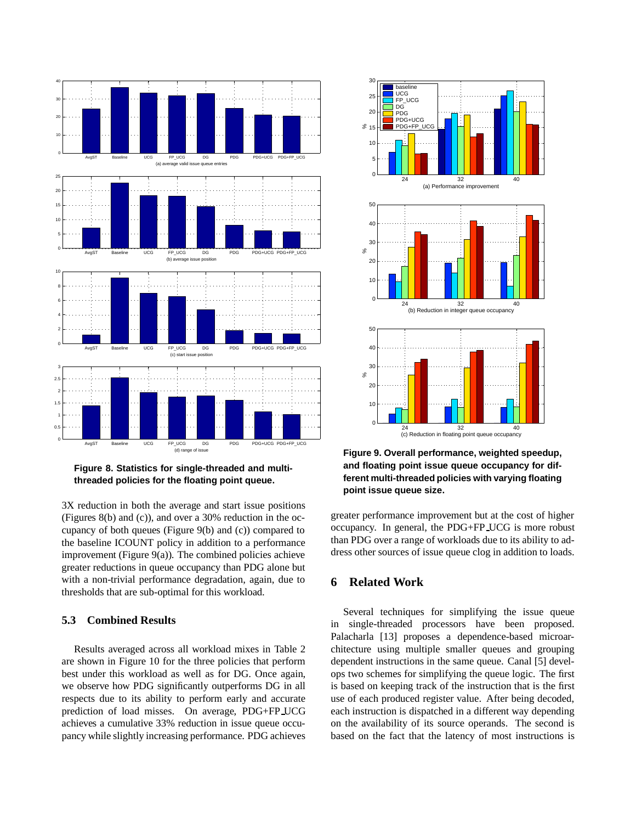

**Figure 8. Statistics for single-threaded and multithreaded policies for the floating point queue.**

3X reduction in both the average and start issue positions (Figures 8(b) and (c)), and over a 30% reduction in the occupancy of both queues (Figure 9(b) and (c)) compared to the baseline ICOUNT policy in addition to a performance improvement (Figure  $9(a)$ ). The combined policies achieve greater reductions in queue occupancy than PDG alone but with a non-trivial performance degradation, again, due to thresholds that are sub-optimal for this workload.

### **5.3 Combined Results**

Results averaged across all workload mixes in Table 2 are shown in Figure 10 for the three policies that perform best under this workload as well as for DG. Once again, we observe how PDG significantly outperforms DG in all respects due to its ability to perform early and accurate prediction of load misses. On average, PDG+FP UCG achieves a cumulative 33% reduction in issue queue occupancy while slightly increasing performance. PDG achieves



**Figure 9. Overall performance, weighted speedup, and floating point issue queue occupancy for different multi-threaded policies with varying floating point issue queue size.**

greater performance improvement but at the cost of higher occupancy. In general, the PDG+FP UCG is more robust than PDG over a range of workloads due to its ability to address other sources of issue queue clog in addition to loads.

# **6 Related Work**

Several techniques for simplifying the issue queue in single-threaded processors have been proposed. Palacharla [13] proposes a dependence-based microarchitecture using multiple smaller queues and grouping dependent instructions in the same queue. Canal [5] develops two schemes for simplifying the queue logic. The first is based on keeping track of the instruction that is the first use of each produced register value. After being decoded, each instruction is dispatched in a different way depending on the availability of its source operands. The second is based on the fact that the latency of most instructions is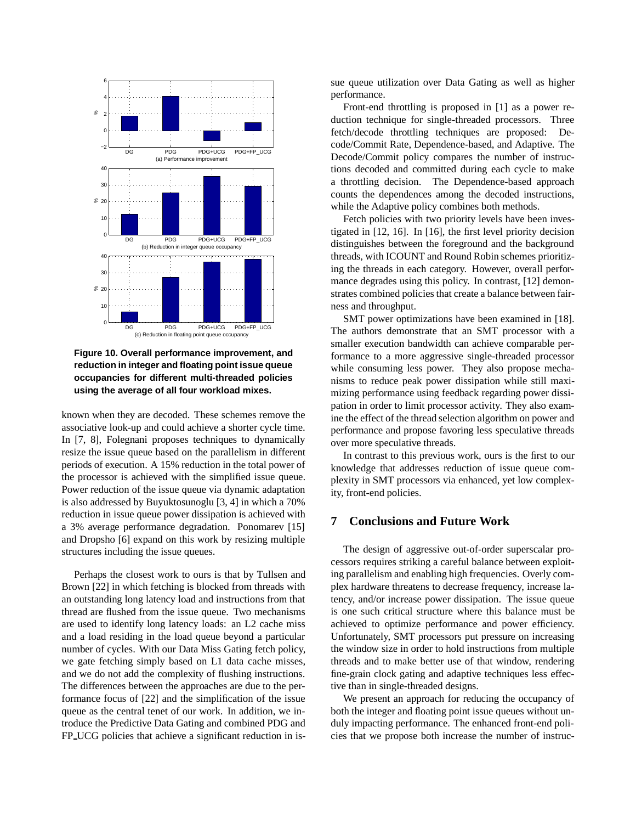

**Figure 10. Overall performance improvement, and reduction in integer and floating point issue queue occupancies for different multi-threaded policies using the average of all four workload mixes.**

known when they are decoded. These schemes remove the associative look-up and could achieve a shorter cycle time. In [7, 8], Folegnani proposes techniques to dynamically resize the issue queue based on the parallelism in different periods of execution. A 15% reduction in the total power of the processor is achieved with the simplified issue queue. Power reduction of the issue queue via dynamic adaptation is also addressed by Buyuktosunoglu [3, 4] in which a 70% reduction in issue queue power dissipation is achieved with a 3% average performance degradation. Ponomarev [15] and Dropsho [6] expand on this work by resizing multiple structures including the issue queues.

Perhaps the closest work to ours is that by Tullsen and Brown [22] in which fetching is blocked from threads with an outstanding long latency load and instructions from that thread are flushed from the issue queue. Two mechanisms are used to identify long latency loads: an L2 cache miss and a load residing in the load queue beyond a particular number of cycles. With our Data Miss Gating fetch policy, we gate fetching simply based on L1 data cache misses, and we do not add the complexity of flushing instructions. The differences between the approaches are due to the performance focus of [22] and the simplification of the issue queue as the central tenet of our work. In addition, we introduce the Predictive Data Gating and combined PDG and FP UCG policies that achieve a significant reduction in issue queue utilization over Data Gating as well as higher performance.

Front-end throttling is proposed in [1] as a power reduction technique for single-threaded processors. Three fetch/decode throttling techniques are proposed: Decode/Commit Rate, Dependence-based, and Adaptive. The Decode/Commit policy compares the number of instructions decoded and committed during each cycle to make a throttling decision. The Dependence-based approach counts the dependences among the decoded instructions, while the Adaptive policy combines both methods.

Fetch policies with two priority levels have been investigated in [12, 16]. In [16], the first level priority decision distinguishes between the foreground and the background threads, with ICOUNT and Round Robin schemes prioritizing the threads in each category. However, overall performance degrades using this policy. In contrast, [12] demonstrates combined policies that create a balance between fairness and throughput.

SMT power optimizations have been examined in [18]. The authors demonstrate that an SMT processor with a smaller execution bandwidth can achieve comparable performance to a more aggressive single-threaded processor while consuming less power. They also propose mechanisms to reduce peak power dissipation while still maximizing performance using feedback regarding power dissipation in order to limit processor activity. They also examine the effect of the thread selection algorithm on power and performance and propose favoring less speculative threads over more speculative threads.

In contrast to this previous work, ours is the first to our knowledge that addresses reduction of issue queue complexity in SMT processors via enhanced, yet low complexity, front-end policies.

# **7 Conclusions and Future Work**

The design of aggressive out-of-order superscalar processors requires striking a careful balance between exploiting parallelism and enabling high frequencies. Overly complex hardware threatens to decrease frequency, increase latency, and/or increase power dissipation. The issue queue is one such critical structure where this balance must be achieved to optimize performance and power efficiency. Unfortunately, SMT processors put pressure on increasing the window size in order to hold instructions from multiple threads and to make better use of that window, rendering fine-grain clock gating and adaptive techniques less effective than in single-threaded designs.

We present an approach for reducing the occupancy of both the integer and floating point issue queues without unduly impacting performance. The enhanced front-end policies that we propose both increase the number of instruc